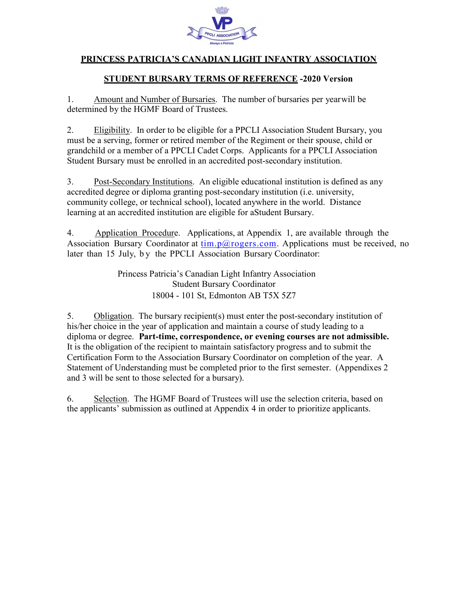

## PRINCESS PATRICIA'S CANADIAN LIGHT INFANTRY ASSOCIATION

### STUDENT BURSARY TERMS OF REFERENCE -2020 Version

1. Amount and Number of Bursaries. The number of bursaries per year will be determined by the HGMF Board of Trustees.

2. Eligibility. In order to be eligible for a PPCLI Association Student Bursary, you must be a serving, former or retired member of the Regiment or their spouse, child or grandchild or a member of a PPCLI Cadet Corps. Applicants for a PPCLI Association Student Bursary must be enrolled in an accredited post-secondary institution.

3. Post-Secondary Institutions. An eligible educational institution is defined as any accredited degree or diploma granting post-secondary institution (i.e. university, community college, or technical school), located anywhere in the world. Distance learning at an accredited institution are eligible for aStudent Bursary.

4. Application Procedure. Applications, at Appendix 1, are available through the Association Bursary Coordinator at  $\underline{\lim. p(a)$  rogers.com. Applications must be received, no later than 15 July, by the PPCLI Association Bursary Coordinator:

> Princess Patricia's Canadian Light Infantry Association Student Bursary Coordinator 18004 - 101 St, Edmonton AB T5X 5Z7

5. Obligation. The bursary recipient(s) must enter the post-secondary institution of his/her choice in the year of application and maintain a course of study leading to a diploma or degree. Part-time, correspondence, or evening courses are not admissible. It is the obligation of the recipient to maintain satisfactory progress and to submit the Certification Form to the Association Bursary Coordinator on completion of the year. A Statement of Understanding must be completed prior to the first semester. (Appendixes 2 and 3 will be sent to those selected for a bursary).

6. Selection. The HGMF Board of Trustees will use the selection criteria, based on the applicants' submission as outlined at Appendix 4 in order to prioritize applicants.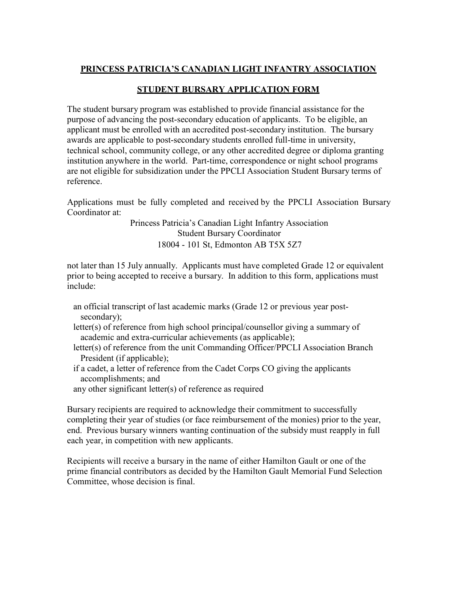## PRINCESS PATRICIA'S CANADIAN LIGHT INFANTRY ASSOCIATION

## STUDENT BURSARY APPLICATION FORM

The student bursary program was established to provide financial assistance for the purpose of advancing the post-secondary education of applicants. To be eligible, an applicant must be enrolled with an accredited post-secondary institution. The bursary awards are applicable to post-secondary students enrolled full-time in university, technical school, community college, or any other accredited degree or diploma granting institution anywhere in the world. Part-time, correspondence or night school programs are not eligible for subsidization under the PPCLI Association Student Bursary terms of reference.

Applications must be fully completed and received by the PPCLI Association Bursary Coordinator at:

> Princess Patricia's Canadian Light Infantry Association Student Bursary Coordinator 18004 - 101 St, Edmonton AB T5X 5Z7

not later than 15 July annually. Applicants must have completed Grade 12 or equivalent prior to being accepted to receive a bursary. In addition to this form, applications must include:

- an official transcript of last academic marks (Grade 12 or previous year postsecondary);
- letter(s) of reference from high school principal/counsellor giving a summary of academic and extra-curricular achievements (as applicable);
- letter(s) of reference from the unit Commanding Officer/PPCLI Association Branch President (if applicable);
- if a cadet, a letter of reference from the Cadet Corps CO giving the applicants accomplishments; and
- any other significant letter(s) of reference as required

Bursary recipients are required to acknowledge their commitment to successfully completing their year of studies (or face reimbursement of the monies) prior to the year, end. Previous bursary winners wanting continuation of the subsidy must reapply in full each year, in competition with new applicants.

Recipients will receive a bursary in the name of either Hamilton Gault or one of the prime financial contributors as decided by the Hamilton Gault Memorial Fund Selection Committee, whose decision is final.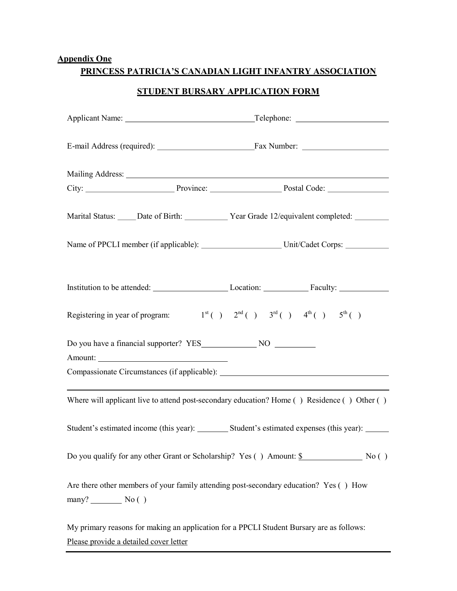## Appendix One

## PRINCESS PATRICIA'S CANADIAN LIGHT INFANTRY ASSOCIATION

## STUDENT BURSARY APPLICATION FORM

|                                                                                                        | Mailing Address: National Address: National Address: National Address: National Address: National Address: National Address: National Address: National Address: National Address: National Address: National Address: Nationa |  |  |  |  |
|--------------------------------------------------------------------------------------------------------|--------------------------------------------------------------------------------------------------------------------------------------------------------------------------------------------------------------------------------|--|--|--|--|
|                                                                                                        |                                                                                                                                                                                                                                |  |  |  |  |
|                                                                                                        | Marital Status: _____ Date of Birth: _____________ Year Grade 12/equivalent completed: ________                                                                                                                                |  |  |  |  |
|                                                                                                        |                                                                                                                                                                                                                                |  |  |  |  |
|                                                                                                        |                                                                                                                                                                                                                                |  |  |  |  |
| Registering in year of program: $1^{st}$ ( ) $2^{nd}$ ( ) $3^{rd}$ ( ) $4^{th}$ ( ) $5^{th}$ ( )       |                                                                                                                                                                                                                                |  |  |  |  |
|                                                                                                        |                                                                                                                                                                                                                                |  |  |  |  |
|                                                                                                        | Compassionate Circumstances (if applicable): Manual Assemblue Compassionate Circumstances (if applicable):                                                                                                                     |  |  |  |  |
|                                                                                                        | <u> 1989 - Johann Barn, amerikansk politiker (d. 1989)</u><br>Where will applicant live to attend post-secondary education? Home () Residence () Other ()                                                                      |  |  |  |  |
|                                                                                                        | Student's estimated income (this year): __________ Student's estimated expenses (this year): ______                                                                                                                            |  |  |  |  |
|                                                                                                        | Do you qualify for any other Grant or Scholarship? Yes () Amount: \$ No ()                                                                                                                                                     |  |  |  |  |
| Are there other members of your family attending post-secondary education? Yes () How<br>$many?$ No () |                                                                                                                                                                                                                                |  |  |  |  |
| My primary reasons for making an application for a PPCLI Student Bursary are as follows:               |                                                                                                                                                                                                                                |  |  |  |  |

Please provide a detailed cover letter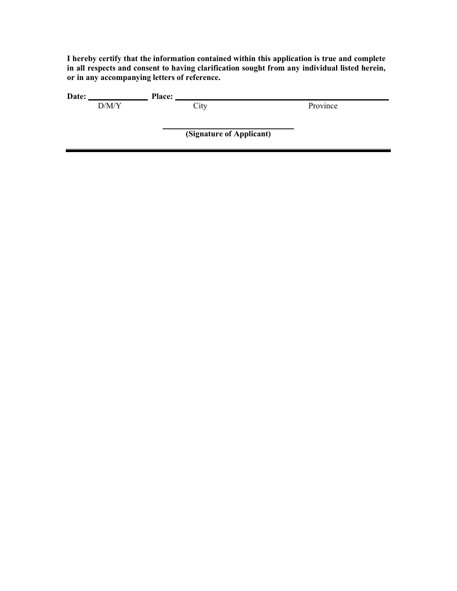I hereby certify that the information contained within this application is true and complete in all respects and consent to having clarification sought from any individual listed herein, or in any accompanying letters of reference.

| Date: |       | <b>Place:</b> |                          |          |  |
|-------|-------|---------------|--------------------------|----------|--|
|       | D/M/Y |               | City                     | Province |  |
|       |       |               |                          |          |  |
|       |       |               |                          |          |  |
|       |       |               | (Signature of Applicant) |          |  |
|       |       |               |                          |          |  |
|       |       |               |                          |          |  |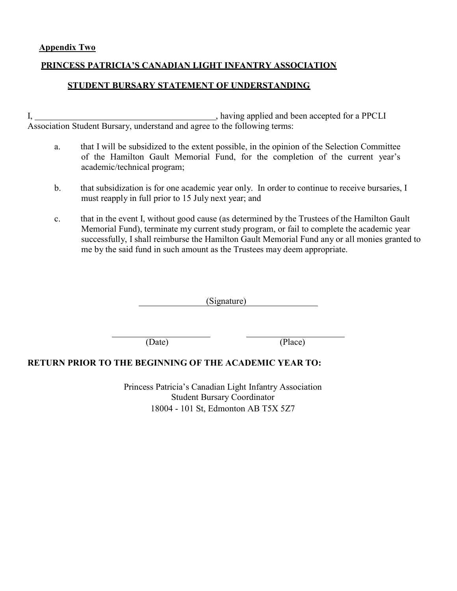#### Appendix Two

#### PRINCESS PATRICIA'S CANADIAN LIGHT INFANTRY ASSOCIATION

#### STUDENT BURSARY STATEMENT OF UNDERSTANDING

I, having applied and been accepted for a PPCLI Association Student Bursary, understand and agree to the following terms:

- a. that I will be subsidized to the extent possible, in the opinion of the Selection Committee of the Hamilton Gault Memorial Fund, for the completion of the current year's academic/technical program;
- b. that subsidization is for one academic year only. In order to continue to receive bursaries, I must reapply in full prior to 15 July next year; and
- c. that in the event I, without good cause (as determined by the Trustees of the Hamilton Gault Memorial Fund), terminate my current study program, or fail to complete the academic year successfully, I shall reimburse the Hamilton Gault Memorial Fund any or all monies granted to me by the said fund in such amount as the Trustees may deem appropriate.

(Signature)

(Date) (Place)

#### RETURN PRIOR TO THE BEGINNING OF THE ACADEMIC YEAR TO:

Princess Patricia's Canadian Light Infantry Association Student Bursary Coordinator 18004 - 101 St, Edmonton AB T5X 5Z7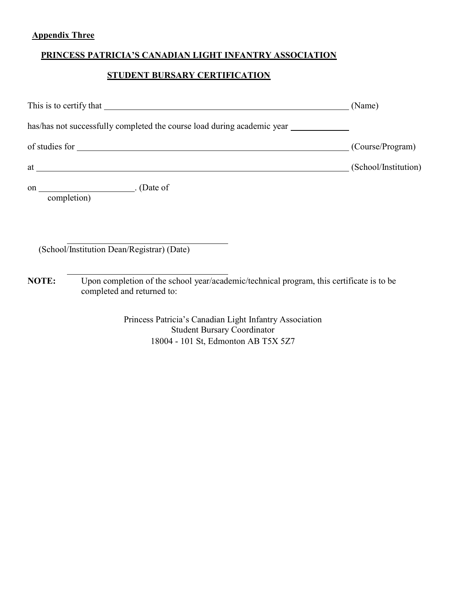# Appendix Three

# PRINCESS PATRICIA'S CANADIAN LIGHT INFANTRY ASSOCIATION

# STUDENT BURSARY CERTIFICATION

|       |                                                                                                                                                                                                                                    | (Name)               |
|-------|------------------------------------------------------------------------------------------------------------------------------------------------------------------------------------------------------------------------------------|----------------------|
|       | has/has not successfully completed the course load during academic year _________                                                                                                                                                  |                      |
|       |                                                                                                                                                                                                                                    | (Course/Program)     |
|       | at <u>example</u> and the contract of the contract of the contract of the contract of the contract of the contract of the contract of the contract of the contract of the contract of the contract of the contract of the contract | (School/Institution) |
|       | completion)                                                                                                                                                                                                                        |                      |
|       | (School/Institution Dean/Registrar) (Date)                                                                                                                                                                                         |                      |
| NOTE: | Upon completion of the school year/academic/technical program, this certificate is to be<br>completed and returned to:                                                                                                             |                      |
|       | Princess Patricia's Canadian Light Infantry Association<br><b>Student Bursary Coordinator</b><br>18004 - 101 St, Edmonton AB T5X 5Z7                                                                                               |                      |